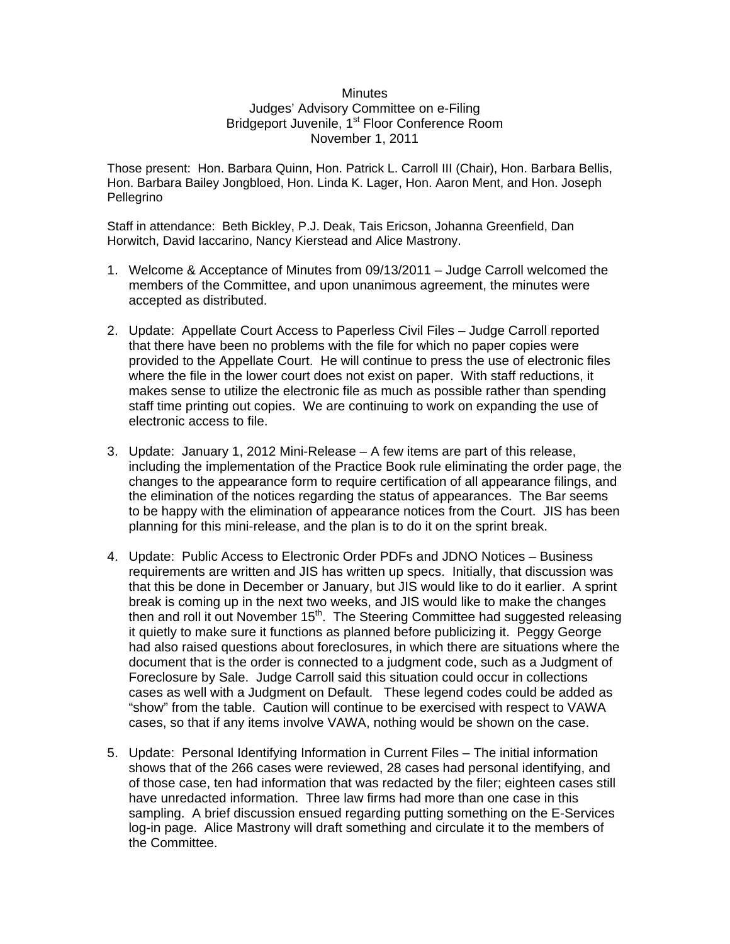## **Minutes** Judges' Advisory Committee on e-Filing Bridgeport Juvenile, 1<sup>st</sup> Floor Conference Room November 1, 2011

Those present: Hon. Barbara Quinn, Hon. Patrick L. Carroll III (Chair), Hon. Barbara Bellis, Hon. Barbara Bailey Jongbloed, Hon. Linda K. Lager, Hon. Aaron Ment, and Hon. Joseph Pellegrino

Staff in attendance: Beth Bickley, P.J. Deak, Tais Ericson, Johanna Greenfield, Dan Horwitch, David Iaccarino, Nancy Kierstead and Alice Mastrony.

- 1. Welcome & Acceptance of Minutes from 09/13/2011 Judge Carroll welcomed the members of the Committee, and upon unanimous agreement, the minutes were accepted as distributed.
- 2. Update: Appellate Court Access to Paperless Civil Files Judge Carroll reported that there have been no problems with the file for which no paper copies were provided to the Appellate Court. He will continue to press the use of electronic files where the file in the lower court does not exist on paper. With staff reductions, it makes sense to utilize the electronic file as much as possible rather than spending staff time printing out copies. We are continuing to work on expanding the use of electronic access to file.
- 3. Update: January 1, 2012 Mini-Release A few items are part of this release, including the implementation of the Practice Book rule eliminating the order page, the changes to the appearance form to require certification of all appearance filings, and the elimination of the notices regarding the status of appearances. The Bar seems to be happy with the elimination of appearance notices from the Court. JIS has been planning for this mini-release, and the plan is to do it on the sprint break.
- 4. Update: Public Access to Electronic Order PDFs and JDNO Notices Business requirements are written and JIS has written up specs. Initially, that discussion was that this be done in December or January, but JIS would like to do it earlier. A sprint break is coming up in the next two weeks, and JIS would like to make the changes then and roll it out November 15<sup>th</sup>. The Steering Committee had suggested releasing it quietly to make sure it functions as planned before publicizing it. Peggy George had also raised questions about foreclosures, in which there are situations where the document that is the order is connected to a judgment code, such as a Judgment of Foreclosure by Sale. Judge Carroll said this situation could occur in collections cases as well with a Judgment on Default. These legend codes could be added as "show" from the table. Caution will continue to be exercised with respect to VAWA cases, so that if any items involve VAWA, nothing would be shown on the case.
- 5. Update: Personal Identifying Information in Current Files The initial information shows that of the 266 cases were reviewed, 28 cases had personal identifying, and of those case, ten had information that was redacted by the filer; eighteen cases still have unredacted information. Three law firms had more than one case in this sampling. A brief discussion ensued regarding putting something on the E-Services log-in page. Alice Mastrony will draft something and circulate it to the members of the Committee.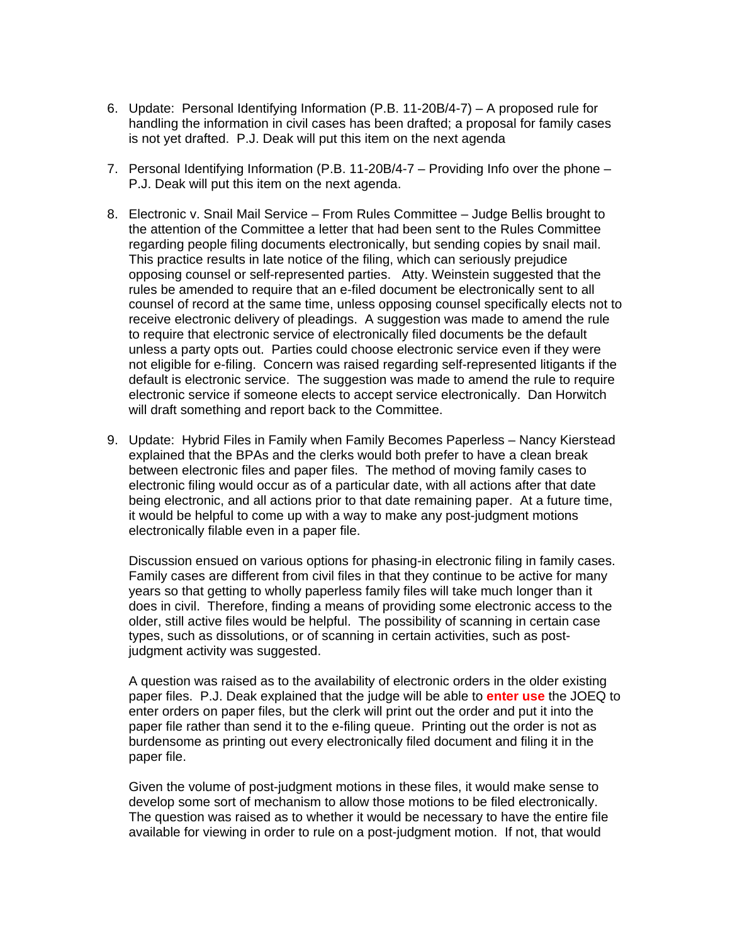- 6. Update: Personal Identifying Information (P.B. 11-20B/4-7) A proposed rule for handling the information in civil cases has been drafted; a proposal for family cases is not yet drafted. P.J. Deak will put this item on the next agenda
- 7. Personal Identifying Information (P.B. 11-20B/4-7 Providing Info over the phone P.J. Deak will put this item on the next agenda.
- 8. Electronic v. Snail Mail Service From Rules Committee Judge Bellis brought to the attention of the Committee a letter that had been sent to the Rules Committee regarding people filing documents electronically, but sending copies by snail mail. This practice results in late notice of the filing, which can seriously prejudice opposing counsel or self-represented parties. Atty. Weinstein suggested that the rules be amended to require that an e-filed document be electronically sent to all counsel of record at the same time, unless opposing counsel specifically elects not to receive electronic delivery of pleadings. A suggestion was made to amend the rule to require that electronic service of electronically filed documents be the default unless a party opts out. Parties could choose electronic service even if they were not eligible for e-filing. Concern was raised regarding self-represented litigants if the default is electronic service. The suggestion was made to amend the rule to require electronic service if someone elects to accept service electronically. Dan Horwitch will draft something and report back to the Committee.
- 9. Update: Hybrid Files in Family when Family Becomes Paperless Nancy Kierstead explained that the BPAs and the clerks would both prefer to have a clean break between electronic files and paper files. The method of moving family cases to electronic filing would occur as of a particular date, with all actions after that date being electronic, and all actions prior to that date remaining paper. At a future time, it would be helpful to come up with a way to make any post-judgment motions electronically filable even in a paper file.

Discussion ensued on various options for phasing-in electronic filing in family cases. Family cases are different from civil files in that they continue to be active for many years so that getting to wholly paperless family files will take much longer than it does in civil. Therefore, finding a means of providing some electronic access to the older, still active files would be helpful. The possibility of scanning in certain case types, such as dissolutions, or of scanning in certain activities, such as postjudgment activity was suggested.

A question was raised as to the availability of electronic orders in the older existing paper files. P.J. Deak explained that the judge will be able to **enter use** the JOEQ to enter orders on paper files, but the clerk will print out the order and put it into the paper file rather than send it to the e-filing queue. Printing out the order is not as burdensome as printing out every electronically filed document and filing it in the paper file.

Given the volume of post-judgment motions in these files, it would make sense to develop some sort of mechanism to allow those motions to be filed electronically. The question was raised as to whether it would be necessary to have the entire file available for viewing in order to rule on a post-judgment motion. If not, that would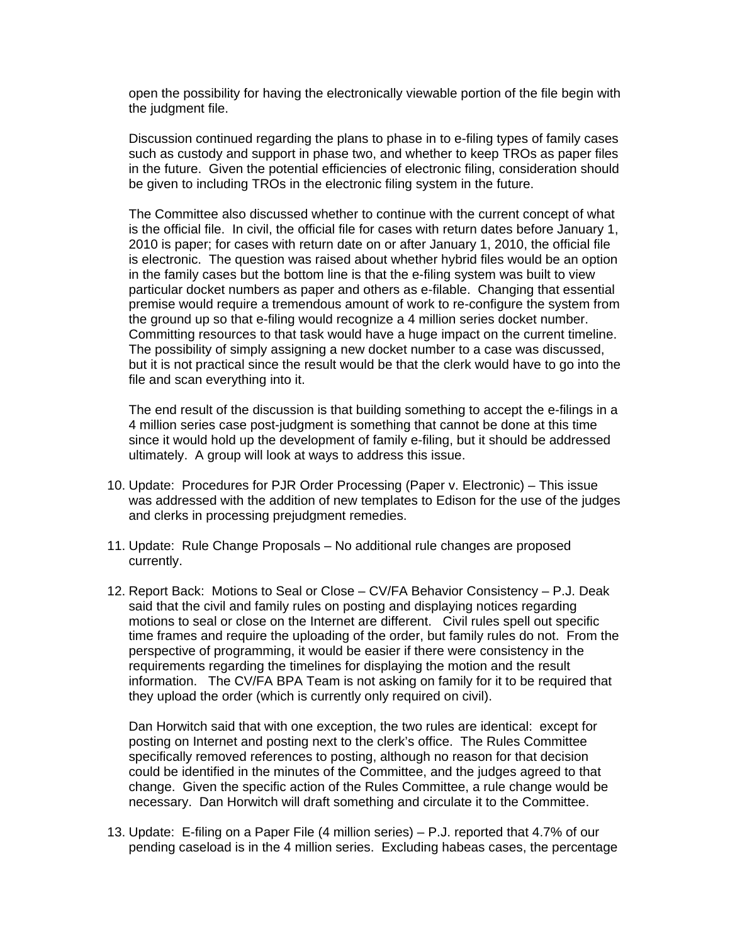open the possibility for having the electronically viewable portion of the file begin with the judgment file.

Discussion continued regarding the plans to phase in to e-filing types of family cases such as custody and support in phase two, and whether to keep TROs as paper files in the future. Given the potential efficiencies of electronic filing, consideration should be given to including TROs in the electronic filing system in the future.

The Committee also discussed whether to continue with the current concept of what is the official file. In civil, the official file for cases with return dates before January 1, 2010 is paper; for cases with return date on or after January 1, 2010, the official file is electronic. The question was raised about whether hybrid files would be an option in the family cases but the bottom line is that the e-filing system was built to view particular docket numbers as paper and others as e-filable. Changing that essential premise would require a tremendous amount of work to re-configure the system from the ground up so that e-filing would recognize a 4 million series docket number. Committing resources to that task would have a huge impact on the current timeline. The possibility of simply assigning a new docket number to a case was discussed, but it is not practical since the result would be that the clerk would have to go into the file and scan everything into it.

The end result of the discussion is that building something to accept the e-filings in a 4 million series case post-judgment is something that cannot be done at this time since it would hold up the development of family e-filing, but it should be addressed ultimately. A group will look at ways to address this issue.

- 10. Update: Procedures for PJR Order Processing (Paper v. Electronic) This issue was addressed with the addition of new templates to Edison for the use of the judges and clerks in processing prejudgment remedies.
- 11. Update: Rule Change Proposals No additional rule changes are proposed currently.
- 12. Report Back: Motions to Seal or Close CV/FA Behavior Consistency P.J. Deak said that the civil and family rules on posting and displaying notices regarding motions to seal or close on the Internet are different. Civil rules spell out specific time frames and require the uploading of the order, but family rules do not. From the perspective of programming, it would be easier if there were consistency in the requirements regarding the timelines for displaying the motion and the result information. The CV/FA BPA Team is not asking on family for it to be required that they upload the order (which is currently only required on civil).

Dan Horwitch said that with one exception, the two rules are identical: except for posting on Internet and posting next to the clerk's office. The Rules Committee specifically removed references to posting, although no reason for that decision could be identified in the minutes of the Committee, and the judges agreed to that change. Given the specific action of the Rules Committee, a rule change would be necessary. Dan Horwitch will draft something and circulate it to the Committee.

13. Update: E-filing on a Paper File (4 million series) – P.J. reported that 4.7% of our pending caseload is in the 4 million series. Excluding habeas cases, the percentage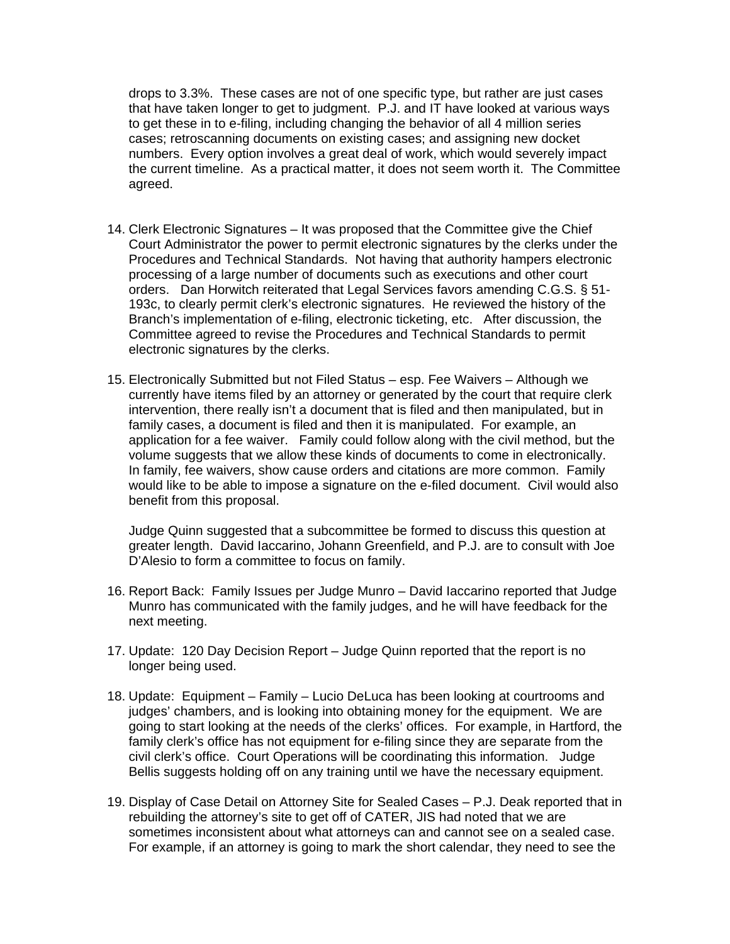drops to 3.3%. These cases are not of one specific type, but rather are just cases that have taken longer to get to judgment. P.J. and IT have looked at various ways to get these in to e-filing, including changing the behavior of all 4 million series cases; retroscanning documents on existing cases; and assigning new docket numbers. Every option involves a great deal of work, which would severely impact the current timeline. As a practical matter, it does not seem worth it. The Committee agreed.

- 14. Clerk Electronic Signatures It was proposed that the Committee give the Chief Court Administrator the power to permit electronic signatures by the clerks under the Procedures and Technical Standards. Not having that authority hampers electronic processing of a large number of documents such as executions and other court orders. Dan Horwitch reiterated that Legal Services favors amending C.G.S. § 51- 193c, to clearly permit clerk's electronic signatures. He reviewed the history of the Branch's implementation of e-filing, electronic ticketing, etc. After discussion, the Committee agreed to revise the Procedures and Technical Standards to permit electronic signatures by the clerks.
- 15. Electronically Submitted but not Filed Status esp. Fee Waivers Although we currently have items filed by an attorney or generated by the court that require clerk intervention, there really isn't a document that is filed and then manipulated, but in family cases, a document is filed and then it is manipulated. For example, an application for a fee waiver. Family could follow along with the civil method, but the volume suggests that we allow these kinds of documents to come in electronically. In family, fee waivers, show cause orders and citations are more common. Family would like to be able to impose a signature on the e-filed document. Civil would also benefit from this proposal.

Judge Quinn suggested that a subcommittee be formed to discuss this question at greater length. David Iaccarino, Johann Greenfield, and P.J. are to consult with Joe D'Alesio to form a committee to focus on family.

- 16. Report Back: Family Issues per Judge Munro David Iaccarino reported that Judge Munro has communicated with the family judges, and he will have feedback for the next meeting.
- 17. Update: 120 Day Decision Report Judge Quinn reported that the report is no longer being used.
- 18. Update: Equipment Family Lucio DeLuca has been looking at courtrooms and judges' chambers, and is looking into obtaining money for the equipment. We are going to start looking at the needs of the clerks' offices. For example, in Hartford, the family clerk's office has not equipment for e-filing since they are separate from the civil clerk's office. Court Operations will be coordinating this information. Judge Bellis suggests holding off on any training until we have the necessary equipment.
- 19. Display of Case Detail on Attorney Site for Sealed Cases P.J. Deak reported that in rebuilding the attorney's site to get off of CATER, JIS had noted that we are sometimes inconsistent about what attorneys can and cannot see on a sealed case. For example, if an attorney is going to mark the short calendar, they need to see the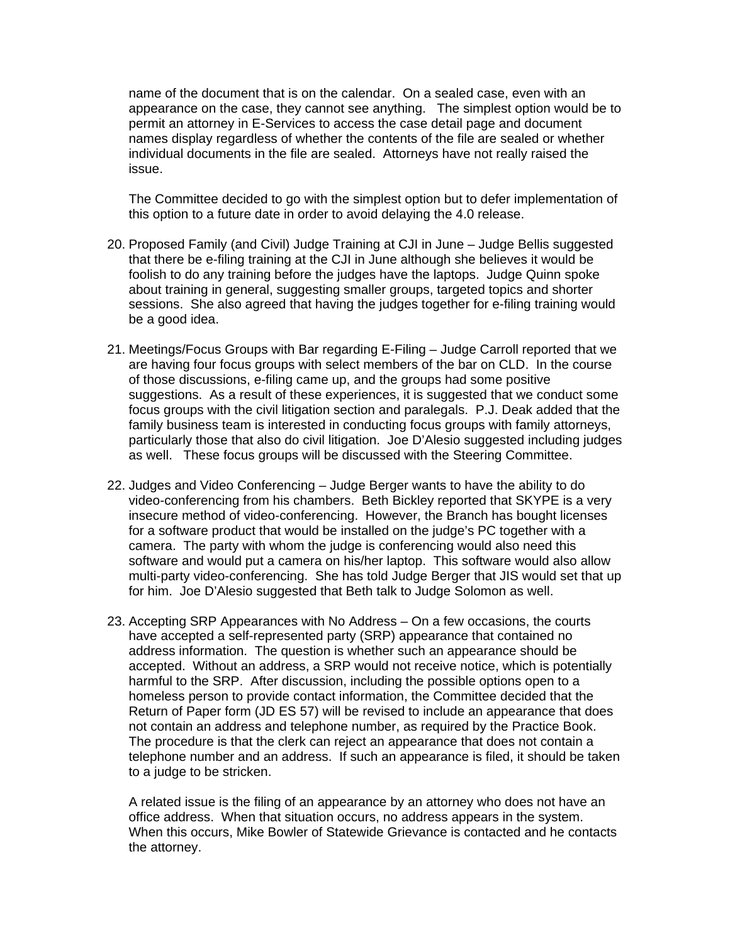name of the document that is on the calendar. On a sealed case, even with an appearance on the case, they cannot see anything. The simplest option would be to permit an attorney in E-Services to access the case detail page and document names display regardless of whether the contents of the file are sealed or whether individual documents in the file are sealed. Attorneys have not really raised the issue.

The Committee decided to go with the simplest option but to defer implementation of this option to a future date in order to avoid delaying the 4.0 release.

- 20. Proposed Family (and Civil) Judge Training at CJI in June Judge Bellis suggested that there be e-filing training at the CJI in June although she believes it would be foolish to do any training before the judges have the laptops. Judge Quinn spoke about training in general, suggesting smaller groups, targeted topics and shorter sessions. She also agreed that having the judges together for e-filing training would be a good idea.
- 21. Meetings/Focus Groups with Bar regarding E-Filing Judge Carroll reported that we are having four focus groups with select members of the bar on CLD. In the course of those discussions, e-filing came up, and the groups had some positive suggestions. As a result of these experiences, it is suggested that we conduct some focus groups with the civil litigation section and paralegals. P.J. Deak added that the family business team is interested in conducting focus groups with family attorneys, particularly those that also do civil litigation. Joe D'Alesio suggested including judges as well. These focus groups will be discussed with the Steering Committee.
- 22. Judges and Video Conferencing Judge Berger wants to have the ability to do video-conferencing from his chambers. Beth Bickley reported that SKYPE is a very insecure method of video-conferencing. However, the Branch has bought licenses for a software product that would be installed on the judge's PC together with a camera. The party with whom the judge is conferencing would also need this software and would put a camera on his/her laptop. This software would also allow multi-party video-conferencing. She has told Judge Berger that JIS would set that up for him. Joe D'Alesio suggested that Beth talk to Judge Solomon as well.
- 23. Accepting SRP Appearances with No Address On a few occasions, the courts have accepted a self-represented party (SRP) appearance that contained no address information. The question is whether such an appearance should be accepted. Without an address, a SRP would not receive notice, which is potentially harmful to the SRP. After discussion, including the possible options open to a homeless person to provide contact information, the Committee decided that the Return of Paper form (JD ES 57) will be revised to include an appearance that does not contain an address and telephone number, as required by the Practice Book. The procedure is that the clerk can reject an appearance that does not contain a telephone number and an address. If such an appearance is filed, it should be taken to a judge to be stricken.

A related issue is the filing of an appearance by an attorney who does not have an office address. When that situation occurs, no address appears in the system. When this occurs, Mike Bowler of Statewide Grievance is contacted and he contacts the attorney.